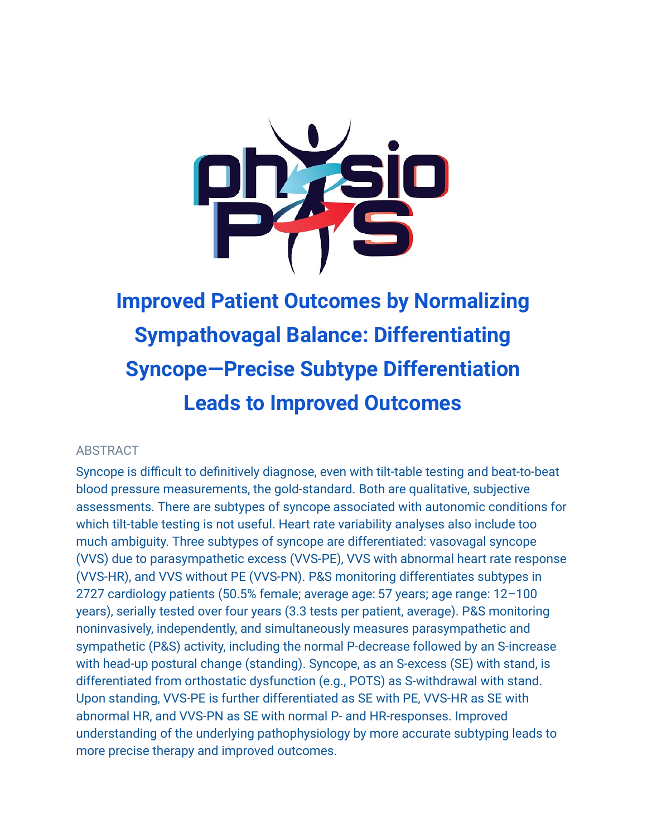

**Improved Patient Outcomes by Normalizing Sympathovagal Balance: Differentiating Syncope—Precise Subtype Differentiation Leads to Improved Outcomes**

# ABSTRACT

Syncope is difficult to definitively diagnose, even with tilt-table testing and beat-to-beat blood pressure measurements, the gold-standard. Both are qualitative, subjective assessments. There are subtypes of syncope associated with autonomic conditions for which tilt-table testing is not useful. Heart rate variability analyses also include too much ambiguity. Three subtypes of syncope are differentiated: vasovagal syncope (VVS) due to parasympathetic excess (VVS-PE), VVS with abnormal heart rate response (VVS-HR), and VVS without PE (VVS-PN). P&S monitoring differentiates subtypes in 2727 cardiology patients (50.5% female; average age: 57 years; age range: 12–100 years), serially tested over four years (3.3 tests per patient, average). P&S monitoring noninvasively, independently, and simultaneously measures parasympathetic and sympathetic (P&S) activity, including the normal P-decrease followed by an S-increase with head-up postural change (standing). Syncope, as an S-excess (SE) with stand, is differentiated from orthostatic dysfunction (e.g., POTS) as S-withdrawal with stand. Upon standing, VVS-PE is further differentiated as SE with PE, VVS-HR as SE with abnormal HR, and VVS-PN as SE with normal P- and HR-responses. Improved understanding of the underlying pathophysiology by more accurate subtyping leads to more precise therapy and improved outcomes.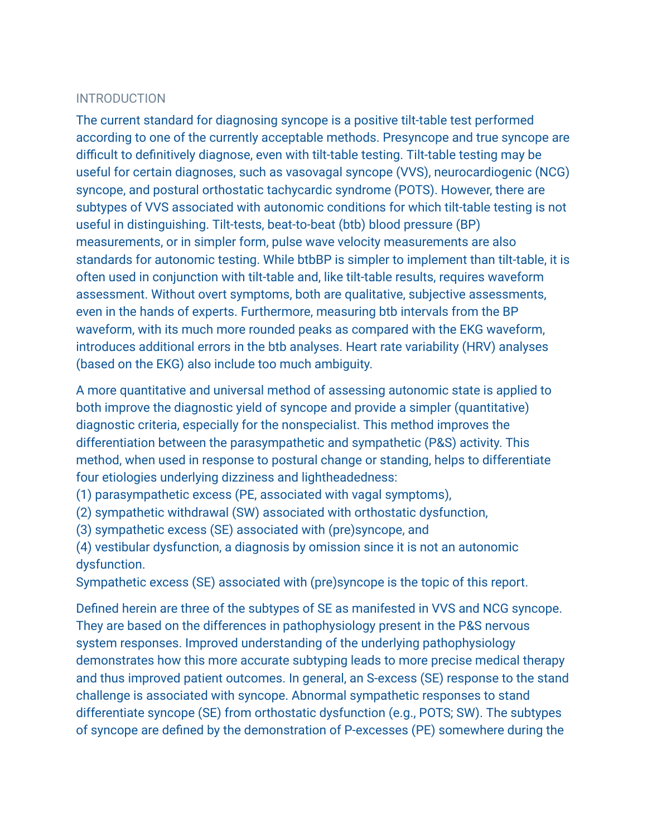### INTRODUCTION

The current standard for diagnosing syncope is a positive tilt-table test performed according to one of the currently acceptable methods. Presyncope and true syncope are difficult to definitively diagnose, even with tilt-table testing. Tilt-table testing may be useful for certain diagnoses, such as vasovagal syncope (VVS), neurocardiogenic (NCG) syncope, and postural orthostatic tachycardic syndrome (POTS). However, there are subtypes of VVS associated with autonomic conditions for which tilt-table testing is not useful in distinguishing. Tilt-tests, beat-to-beat (btb) blood pressure (BP) measurements, or in simpler form, pulse wave velocity measurements are also standards for autonomic testing. While btbBP is simpler to implement than tilt-table, it is often used in conjunction with tilt-table and, like tilt-table results, requires waveform assessment. Without overt symptoms, both are qualitative, subjective assessments, even in the hands of experts. Furthermore, measuring btb intervals from the BP waveform, with its much more rounded peaks as compared with the EKG waveform, introduces additional errors in the btb analyses. Heart rate variability (HRV) analyses (based on the EKG) also include too much ambiguity.

A more quantitative and universal method of assessing autonomic state is applied to both improve the diagnostic yield of syncope and provide a simpler (quantitative) diagnostic criteria, especially for the nonspecialist. This method improves the differentiation between the parasympathetic and sympathetic (P&S) activity. This method, when used in response to postural change or standing, helps to differentiate four etiologies underlying dizziness and lightheadedness:

- (1) parasympathetic excess (PE, associated with vagal symptoms),
- (2) sympathetic withdrawal (SW) associated with orthostatic dysfunction,
- (3) sympathetic excess (SE) associated with (pre)syncope, and

(4) vestibular dysfunction, a diagnosis by omission since it is not an autonomic dysfunction.

Sympathetic excess (SE) associated with (pre)syncope is the topic of this report.

Defined herein are three of the subtypes of SE as manifested in VVS and NCG syncope. They are based on the differences in pathophysiology present in the P&S nervous system responses. Improved understanding of the underlying pathophysiology demonstrates how this more accurate subtyping leads to more precise medical therapy and thus improved patient outcomes. In general, an S-excess (SE) response to the stand challenge is associated with syncope. Abnormal sympathetic responses to stand differentiate syncope (SE) from orthostatic dysfunction (e.g., POTS; SW). The subtypes of syncope are defined by the demonstration of P-excesses (PE) somewhere during the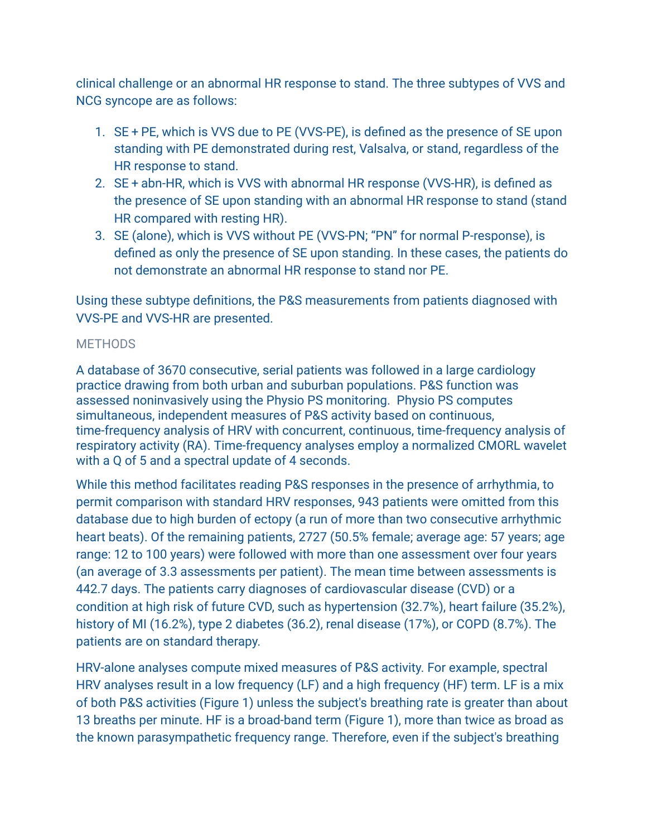clinical challenge or an abnormal HR response to stand. The three subtypes of VVS and NCG syncope are as follows:

- 1. SE + PE, which is VVS due to PE (VVS-PE), is defined as the presence of SE upon standing with PE demonstrated during rest, Valsalva, or stand, regardless of the HR response to stand.
- 2. SE + abn-HR, which is VVS with abnormal HR response (VVS-HR), is defined as the presence of SE upon standing with an abnormal HR response to stand (stand HR compared with resting HR).
- 3. SE (alone), which is VVS without PE (VVS-PN; "PN" for normal P-response), is defined as only the presence of SE upon standing. In these cases, the patients do not demonstrate an abnormal HR response to stand nor PE.

Using these subtype definitions, the P&S measurements from patients diagnosed with VVS-PE and VVS-HR are presented.

# **METHODS**

A database of 3670 consecutive, serial patients was followed in a large cardiology practice drawing from both urban and suburban populations. P&S function was assessed noninvasively using the Physio PS monitoring. Physio PS computes simultaneous, independent measures of P&S activity based on continuous, time-frequency analysis of HRV with concurrent, continuous, time-frequency analysis of respiratory activity (RA). Time-frequency analyses employ a normalized CMORL wavelet with a Q of 5 and a spectral update of 4 seconds.

While this method facilitates reading P&S responses in the presence of arrhythmia, to permit comparison with standard HRV responses, 943 patients were omitted from this database due to high burden of ectopy (a run of more than two consecutive arrhythmic heart beats). Of the remaining patients, 2727 (50.5% female; average age: 57 years; age range: 12 to 100 years) were followed with more than one assessment over four years (an average of 3.3 assessments per patient). The mean time between assessments is 442.7 days. The patients carry diagnoses of cardiovascular disease (CVD) or a condition at high risk of future CVD, such as hypertension (32.7%), heart failure (35.2%), history of MI (16.2%), type 2 diabetes (36.2), renal disease (17%), or COPD (8.7%). The patients are on standard therapy.

HRV-alone analyses compute mixed measures of P&S activity. For example, spectral HRV analyses result in a low frequency (LF) and a high frequency (HF) term. LF is a mix of both P&S activities (Figure 1) unless the subject's breathing rate is greater than about 13 breaths per minute. HF is a broad-band term (Figure 1), more than twice as broad as the known parasympathetic frequency range. Therefore, even if the subject's breathing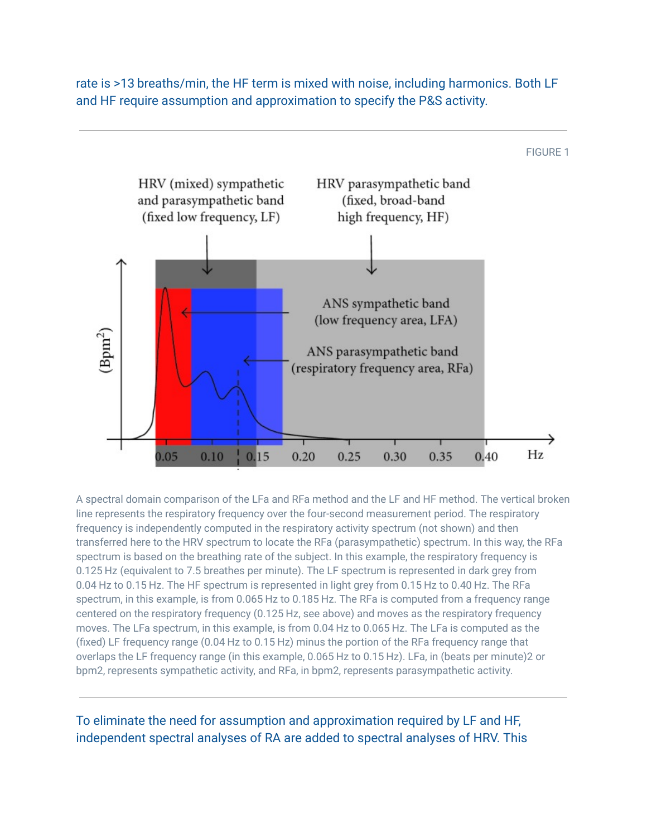rate is >13 breaths/min, the HF term is mixed with noise, including harmonics. Both LF and HF require assumption and approximation to specify the P&S activity.



A spectral domain comparison of the LFa and RFa method and the LF and HF method. The vertical broken line represents the respiratory frequency over the four-second measurement period. The respiratory frequency is independently computed in the respiratory activity spectrum (not shown) and then transferred here to the HRV spectrum to locate the RFa (parasympathetic) spectrum. In this way, the RFa spectrum is based on the breathing rate of the subject. In this example, the respiratory frequency is 0.125 Hz (equivalent to 7.5 breathes per minute). The LF spectrum is represented in dark grey from 0.04 Hz to 0.15 Hz. The HF spectrum is represented in light grey from 0.15 Hz to 0.40 Hz. The RFa spectrum, in this example, is from 0.065 Hz to 0.185 Hz. The RFa is computed from a frequency range centered on the respiratory frequency (0.125 Hz, see above) and moves as the respiratory frequency moves. The LFa spectrum, in this example, is from 0.04 Hz to 0.065 Hz. The LFa is computed as the (fixed) LF frequency range (0.04 Hz to 0.15 Hz) minus the portion of the RFa frequency range that overlaps the LF frequency range (in this example, 0.065 Hz to 0.15 Hz). LFa, in (beats per minute)2 or bpm2, represents sympathetic activity, and RFa, in bpm2, represents parasympathetic activity.

# To eliminate the need for assumption and approximation required by LF and HF, independent spectral analyses of RA are added to spectral analyses of HRV. This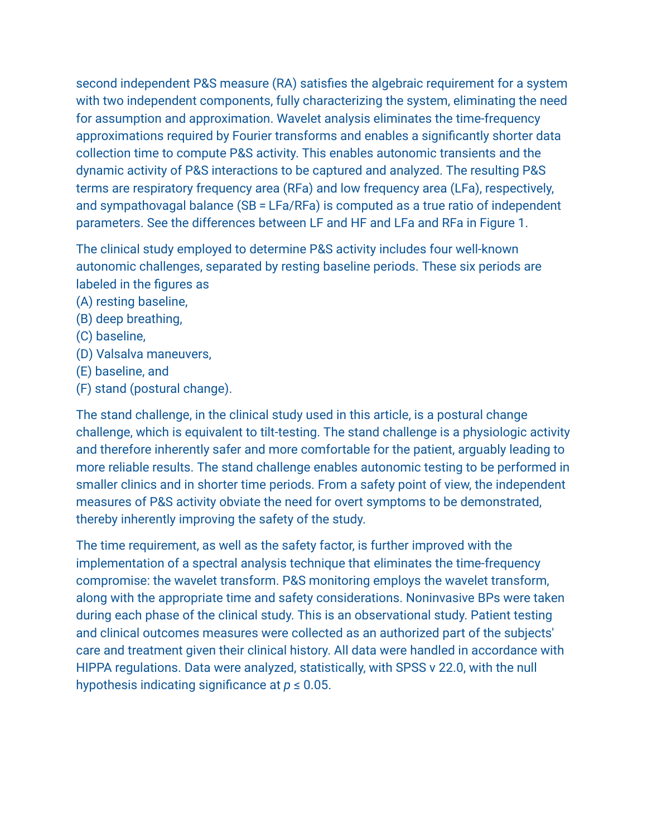second independent P&S measure (RA) satisfies the algebraic requirement for a system with two independent components, fully characterizing the system, eliminating the need for assumption and approximation. Wavelet analysis eliminates the time-frequency approximations required by Fourier transforms and enables a significantly shorter data collection time to compute P&S activity. This enables autonomic transients and the dynamic activity of P&S interactions to be captured and analyzed. The resulting P&S terms are respiratory frequency area (RFa) and low frequency area (LFa), respectively, and sympathovagal balance (SB = LFa/RFa) is computed as a true ratio of independent parameters. See the differences between LF and HF and LFa and RFa in Figure 1.

The clinical study employed to determine P&S activity includes four well-known autonomic challenges, separated by resting baseline periods. These six periods are labeled in the figures as

- (A) resting baseline,
- (B) deep breathing,
- (C) baseline,
- (D) Valsalva maneuvers,
- (E) baseline, and
- (F) stand (postural change).

The stand challenge, in the clinical study used in this article, is a postural change challenge, which is equivalent to tilt-testing. The stand challenge is a physiologic activity and therefore inherently safer and more comfortable for the patient, arguably leading to more reliable results. The stand challenge enables autonomic testing to be performed in smaller clinics and in shorter time periods. From a safety point of view, the independent measures of P&S activity obviate the need for overt symptoms to be demonstrated, thereby inherently improving the safety of the study.

The time requirement, as well as the safety factor, is further improved with the implementation of a spectral analysis technique that eliminates the time-frequency compromise: the wavelet transform. P&S monitoring employs the wavelet transform, along with the appropriate time and safety considerations. Noninvasive BPs were taken during each phase of the clinical study. This is an observational study. Patient testing and clinical outcomes measures were collected as an authorized part of the subjects' care and treatment given their clinical history. All data were handled in accordance with HIPPA regulations. Data were analyzed, statistically, with SPSS v 22.0, with the null hypothesis indicating significance at *p* ≤ 0.05.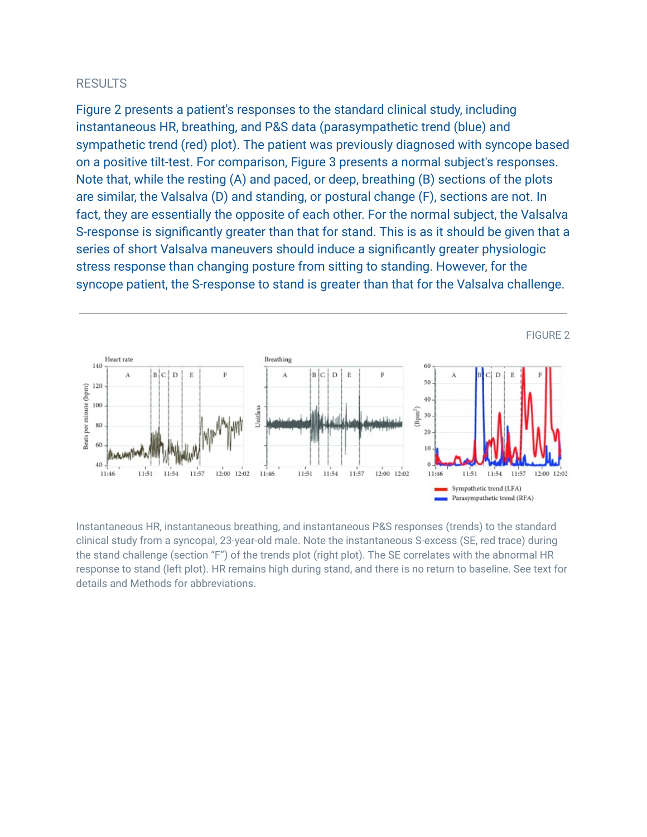#### **RESULTS**

Figure 2 presents a patient's responses to the standard clinical study, including instantaneous HR, breathing, and P&S data (parasympathetic trend (blue) and sympathetic trend (red) plot). The patient was previously diagnosed with syncope based on a positive tilt-test. For comparison, Figure 3 presents a normal subject's responses. Note that, while the resting (A) and paced, or deep, breathing (B) sections of the plots are similar, the Valsalva (D) and standing, or postural change (F), sections are not. In fact, they are essentially the opposite of each other. For the normal subject, the Valsalva S-response is significantly greater than that for stand. This is as it should be given that a series of short Valsalva maneuvers should induce a significantly greater physiologic stress response than changing posture from sitting to standing. However, for the syncope patient, the S-response to stand is greater than that for the Valsalva challenge.



Instantaneous HR, instantaneous breathing, and instantaneous P&S responses (trends) to the standard clinical study from a syncopal, 23-year-old male. Note the instantaneous S-excess (SE, red trace) during the stand challenge (section "F") of the trends plot (right plot). The SE correlates with the abnormal HR response to stand (left plot). HR remains high during stand, and there is no return to baseline. See text for details and Methods for abbreviations.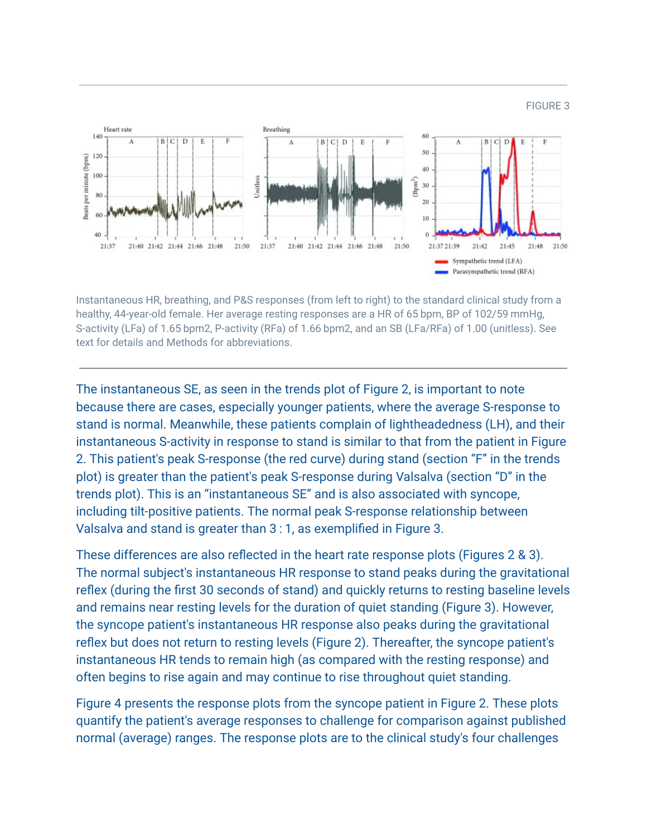#### FIGURE 3



Instantaneous HR, breathing, and P&S responses (from left to right) to the standard clinical study from a healthy, 44-year-old female. Her average resting responses are a HR of 65 bpm, BP of 102/59 mmHg, S-activity (LFa) of 1.65 bpm2, P-activity (RFa) of 1.66 bpm2, and an SB (LFa/RFa) of 1.00 (unitless). See text for details and Methods for abbreviations.

The instantaneous SE, as seen in the trends plot of Figure 2, is important to note because there are cases, especially younger patients, where the average S-response to stand is normal. Meanwhile, these patients complain of lightheadedness (LH), and their instantaneous S-activity in response to stand is similar to that from the patient in Figure 2. This patient's peak S-response (the red curve) during stand (section "F" in the trends plot) is greater than the patient's peak S-response during Valsalva (section "D" in the trends plot). This is an "instantaneous SE" and is also associated with syncope, including tilt-positive patients. The normal peak S-response relationship between Valsalva and stand is greater than 3 : 1, as exemplified in Figure 3.

These differences are also reflected in the heart rate response plots (Figures 2 & 3). The normal subject's instantaneous HR response to stand peaks during the gravitational reflex (during the first 30 seconds of stand) and quickly returns to resting baseline levels and remains near resting levels for the duration of quiet standing (Figure 3). However, the syncope patient's instantaneous HR response also peaks during the gravitational reflex but does not return to resting levels (Figure 2). Thereafter, the syncope patient's instantaneous HR tends to remain high (as compared with the resting response) and often begins to rise again and may continue to rise throughout quiet standing.

Figure 4 presents the response plots from the syncope patient in Figure 2. These plots quantify the patient's average responses to challenge for comparison against published normal (average) ranges. The response plots are to the clinical study's four challenges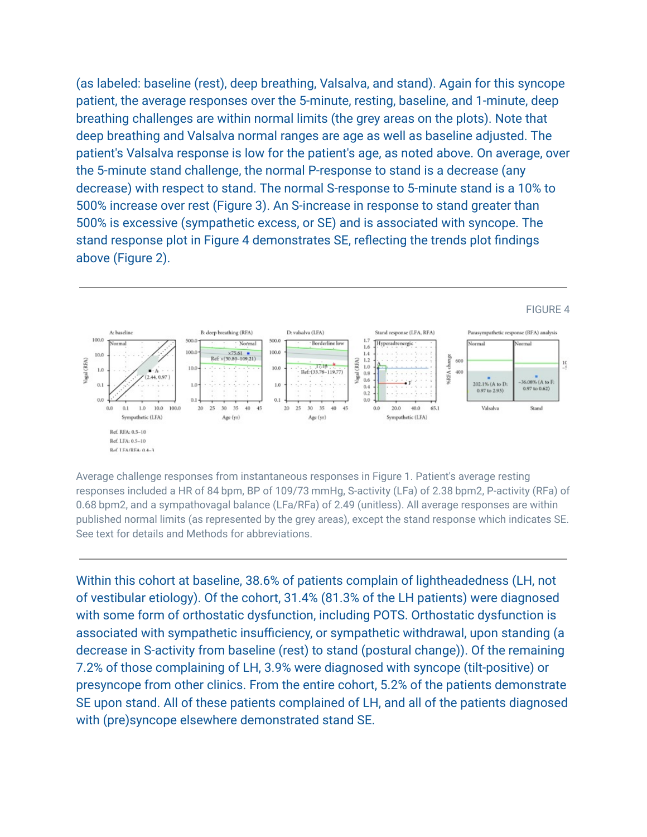(as labeled: baseline (rest), deep breathing, Valsalva, and stand). Again for this syncope patient, the average responses over the 5-minute, resting, baseline, and 1-minute, deep breathing challenges are within normal limits (the grey areas on the plots). Note that deep breathing and Valsalva normal ranges are age as well as baseline adjusted. The patient's Valsalva response is low for the patient's age, as noted above. On average, over the 5-minute stand challenge, the normal P-response to stand is a decrease (any decrease) with respect to stand. The normal S-response to 5-minute stand is a 10% to 500% increase over rest (Figure 3). An S-increase in response to stand greater than 500% is excessive (sympathetic excess, or SE) and is associated with syncope. The stand response plot in Figure 4 demonstrates SE, reflecting the trends plot findings above (Figure 2).



Average challenge responses from instantaneous responses in Figure 1. Patient's average resting responses included a HR of 84 bpm, BP of 109/73 mmHg, S-activity (LFa) of 2.38 bpm2, P-activity (RFa) of 0.68 bpm2, and a sympathovagal balance (LFa/RFa) of 2.49 (unitless). All average responses are within published normal limits (as represented by the grey areas), except the stand response which indicates SE. See text for details and Methods for abbreviations.

Within this cohort at baseline, 38.6% of patients complain of lightheadedness (LH, not of vestibular etiology). Of the cohort, 31.4% (81.3% of the LH patients) were diagnosed with some form of orthostatic dysfunction, including POTS. Orthostatic dysfunction is associated with sympathetic insufficiency, or sympathetic withdrawal, upon standing (a decrease in S-activity from baseline (rest) to stand (postural change)). Of the remaining 7.2% of those complaining of LH, 3.9% were diagnosed with syncope (tilt-positive) or presyncope from other clinics. From the entire cohort, 5.2% of the patients demonstrate SE upon stand. All of these patients complained of LH, and all of the patients diagnosed with (pre)syncope elsewhere demonstrated stand SE.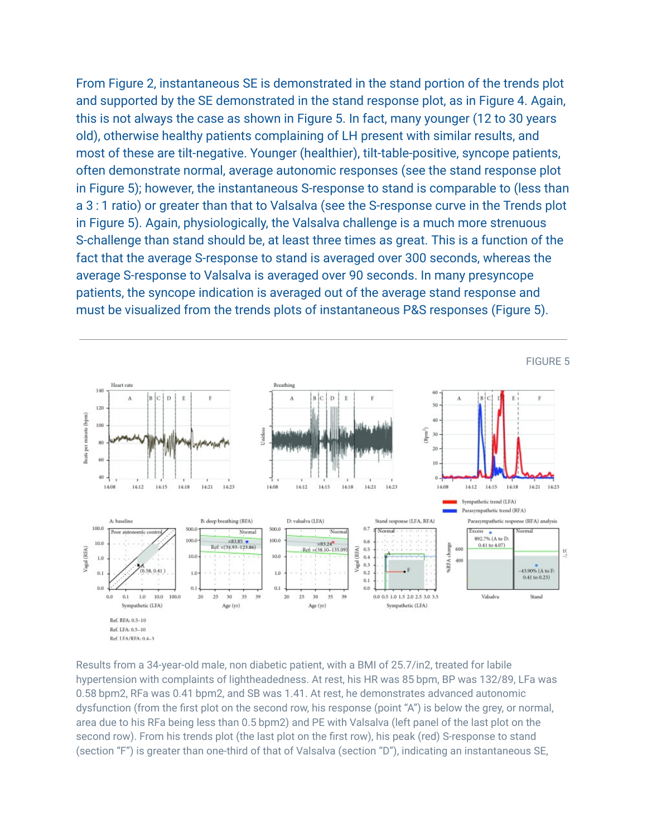From Figure 2, instantaneous SE is demonstrated in the stand portion of the trends plot and supported by the SE demonstrated in the stand response plot, as in Figure 4. Again, this is not always the case as shown in Figure 5. In fact, many younger (12 to 30 years old), otherwise healthy patients complaining of LH present with similar results, and most of these are tilt-negative. Younger (healthier), tilt-table-positive, syncope patients, often demonstrate normal, average autonomic responses (see the stand response plot in Figure 5); however, the instantaneous S-response to stand is comparable to (less than a 3 : 1 ratio) or greater than that to Valsalva (see the S-response curve in the Trends plot in Figure 5). Again, physiologically, the Valsalva challenge is a much more strenuous S-challenge than stand should be, at least three times as great. This is a function of the fact that the average S-response to stand is averaged over 300 seconds, whereas the average S-response to Valsalva is averaged over 90 seconds. In many presyncope patients, the syncope indication is averaged out of the average stand response and must be visualized from the trends plots of instantaneous P&S responses (Figure 5).



Results from a 34-year-old male, non diabetic patient, with a BMI of 25.7/in2, treated for labile hypertension with complaints of lightheadedness. At rest, his HR was 85 bpm, BP was 132/89, LFa was 0.58 bpm2, RFa was 0.41 bpm2, and SB was 1.41. At rest, he demonstrates advanced autonomic dysfunction (from the first plot on the second row, his response (point "A") is below the grey, or normal, area due to his RFa being less than 0.5 bpm2) and PE with Valsalva (left panel of the last plot on the second row). From his trends plot (the last plot on the first row), his peak (red) S-response to stand (section "F") is greater than one-third of that of Valsalva (section "D"), indicating an instantaneous SE,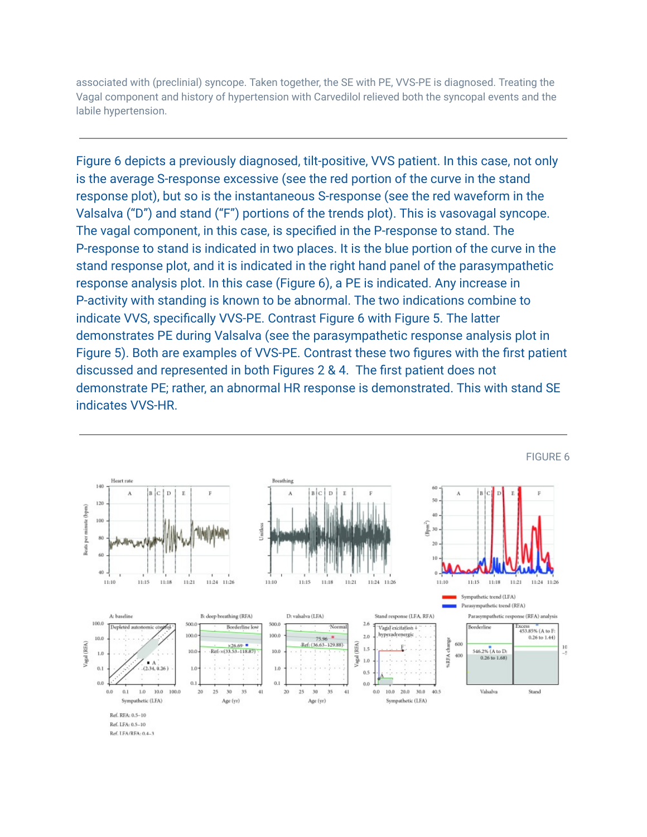associated with (preclinial) syncope. Taken together, the SE with PE, VVS-PE is diagnosed. Treating the Vagal component and history of hypertension with Carvedilol relieved both the syncopal events and the labile hypertension.

Figure 6 depicts a previously diagnosed, tilt-positive, VVS patient. In this case, not only is the average S-response excessive (see the red portion of the curve in the stand response plot), but so is the instantaneous S-response (see the red waveform in the Valsalva ("D") and stand ("F") portions of the trends plot). This is vasovagal syncope. The vagal component, in this case, is specified in the P-response to stand. The P-response to stand is indicated in two places. It is the blue portion of the curve in the stand response plot, and it is indicated in the right hand panel of the parasympathetic response analysis plot. In this case (Figure 6), a PE is indicated. Any increase in P-activity with standing is known to be abnormal. The two indications combine to indicate VVS, specifically VVS-PE. Contrast Figure 6 with Figure 5. The latter demonstrates PE during Valsalva (see the parasympathetic response analysis plot in Figure 5). Both are examples of VVS-PE. Contrast these two figures with the first patient discussed and represented in both Figures 2 & 4. The first patient does not demonstrate PE; rather, an abnormal HR response is demonstrated. This with stand SE indicates VVS-HR.

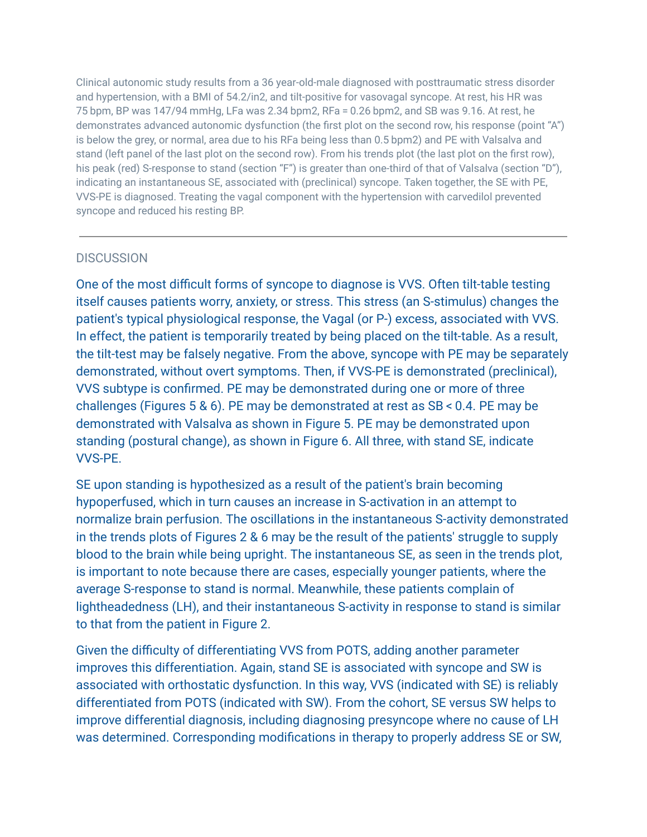Clinical autonomic study results from a 36 year-old-male diagnosed with posttraumatic stress disorder and hypertension, with a BMI of 54.2/in2, and tilt-positive for vasovagal syncope. At rest, his HR was 75 bpm, BP was 147/94 mmHg, LFa was 2.34 bpm2, RFa = 0.26 bpm2, and SB was 9.16. At rest, he demonstrates advanced autonomic dysfunction (the first plot on the second row, his response (point "A") is below the grey, or normal, area due to his RFa being less than 0.5 bpm2) and PE with Valsalva and stand (left panel of the last plot on the second row). From his trends plot (the last plot on the first row), his peak (red) S-response to stand (section "F") is greater than one-third of that of Valsalva (section "D"), indicating an instantaneous SE, associated with (preclinical) syncope. Taken together, the SE with PE, VVS-PE is diagnosed. Treating the vagal component with the hypertension with carvedilol prevented syncope and reduced his resting BP.

# **DISCUSSION**

One of the most difficult forms of syncope to diagnose is VVS. Often tilt-table testing itself causes patients worry, anxiety, or stress. This stress (an S-stimulus) changes the patient's typical physiological response, the Vagal (or P-) excess, associated with VVS. In effect, the patient is temporarily treated by being placed on the tilt-table. As a result, the tilt-test may be falsely negative. From the above, syncope with PE may be separately demonstrated, without overt symptoms. Then, if VVS-PE is demonstrated (preclinical), VVS subtype is confirmed. PE may be demonstrated during one or more of three challenges (Figures 5 & 6). PE may be demonstrated at rest as SB < 0.4. PE may be demonstrated with Valsalva as shown in Figure 5. PE may be demonstrated upon standing (postural change), as shown in Figure 6. All three, with stand SE, indicate VVS-PE.

SE upon standing is hypothesized as a result of the patient's brain becoming hypoperfused, which in turn causes an increase in S-activation in an attempt to normalize brain perfusion. The oscillations in the instantaneous S-activity demonstrated in the trends plots of Figures 2 & 6 may be the result of the patients' struggle to supply blood to the brain while being upright. The instantaneous SE, as seen in the trends plot, is important to note because there are cases, especially younger patients, where the average S-response to stand is normal. Meanwhile, these patients complain of lightheadedness (LH), and their instantaneous S-activity in response to stand is similar to that from the patient in Figure 2.

Given the difficulty of differentiating VVS from POTS, adding another parameter improves this differentiation. Again, stand SE is associated with syncope and SW is associated with orthostatic dysfunction. In this way, VVS (indicated with SE) is reliably differentiated from POTS (indicated with SW). From the cohort, SE versus SW helps to improve differential diagnosis, including diagnosing presyncope where no cause of LH was determined. Corresponding modifications in therapy to properly address SE or SW,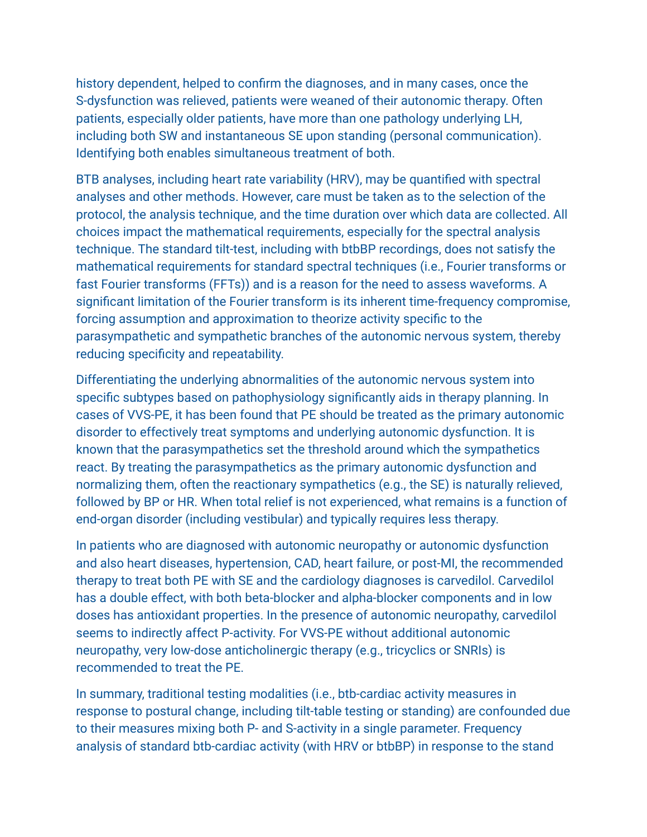history dependent, helped to confirm the diagnoses, and in many cases, once the S-dysfunction was relieved, patients were weaned of their autonomic therapy. Often patients, especially older patients, have more than one pathology underlying LH, including both SW and instantaneous SE upon standing (personal communication). Identifying both enables simultaneous treatment of both.

BTB analyses, including heart rate variability (HRV), may be quantified with spectral analyses and other methods. However, care must be taken as to the selection of the protocol, the analysis technique, and the time duration over which data are collected. All choices impact the mathematical requirements, especially for the spectral analysis technique. The standard tilt-test, including with btbBP recordings, does not satisfy the mathematical requirements for standard spectral techniques (i.e., Fourier transforms or fast Fourier transforms (FFTs)) and is a reason for the need to assess waveforms. A significant limitation of the Fourier transform is its inherent time-frequency compromise, forcing assumption and approximation to theorize activity specific to the parasympathetic and sympathetic branches of the autonomic nervous system, thereby reducing specificity and repeatability.

Differentiating the underlying abnormalities of the autonomic nervous system into specific subtypes based on pathophysiology significantly aids in therapy planning. In cases of VVS-PE, it has been found that PE should be treated as the primary autonomic disorder to effectively treat symptoms and underlying autonomic dysfunction. It is known that the parasympathetics set the threshold around which the sympathetics react. By treating the parasympathetics as the primary autonomic dysfunction and normalizing them, often the reactionary sympathetics (e.g., the SE) is naturally relieved, followed by BP or HR. When total relief is not experienced, what remains is a function of end-organ disorder (including vestibular) and typically requires less therapy.

In patients who are diagnosed with autonomic neuropathy or autonomic dysfunction and also heart diseases, hypertension, CAD, heart failure, or post-MI, the recommended therapy to treat both PE with SE and the cardiology diagnoses is carvedilol. Carvedilol has a double effect, with both beta-blocker and alpha-blocker components and in low doses has antioxidant properties. In the presence of autonomic neuropathy, carvedilol seems to indirectly affect P-activity. For VVS-PE without additional autonomic neuropathy, very low-dose anticholinergic therapy (e.g., tricyclics or SNRIs) is recommended to treat the PE.

In summary, traditional testing modalities (i.e., btb-cardiac activity measures in response to postural change, including tilt-table testing or standing) are confounded due to their measures mixing both P- and S-activity in a single parameter. Frequency analysis of standard btb-cardiac activity (with HRV or btbBP) in response to the stand